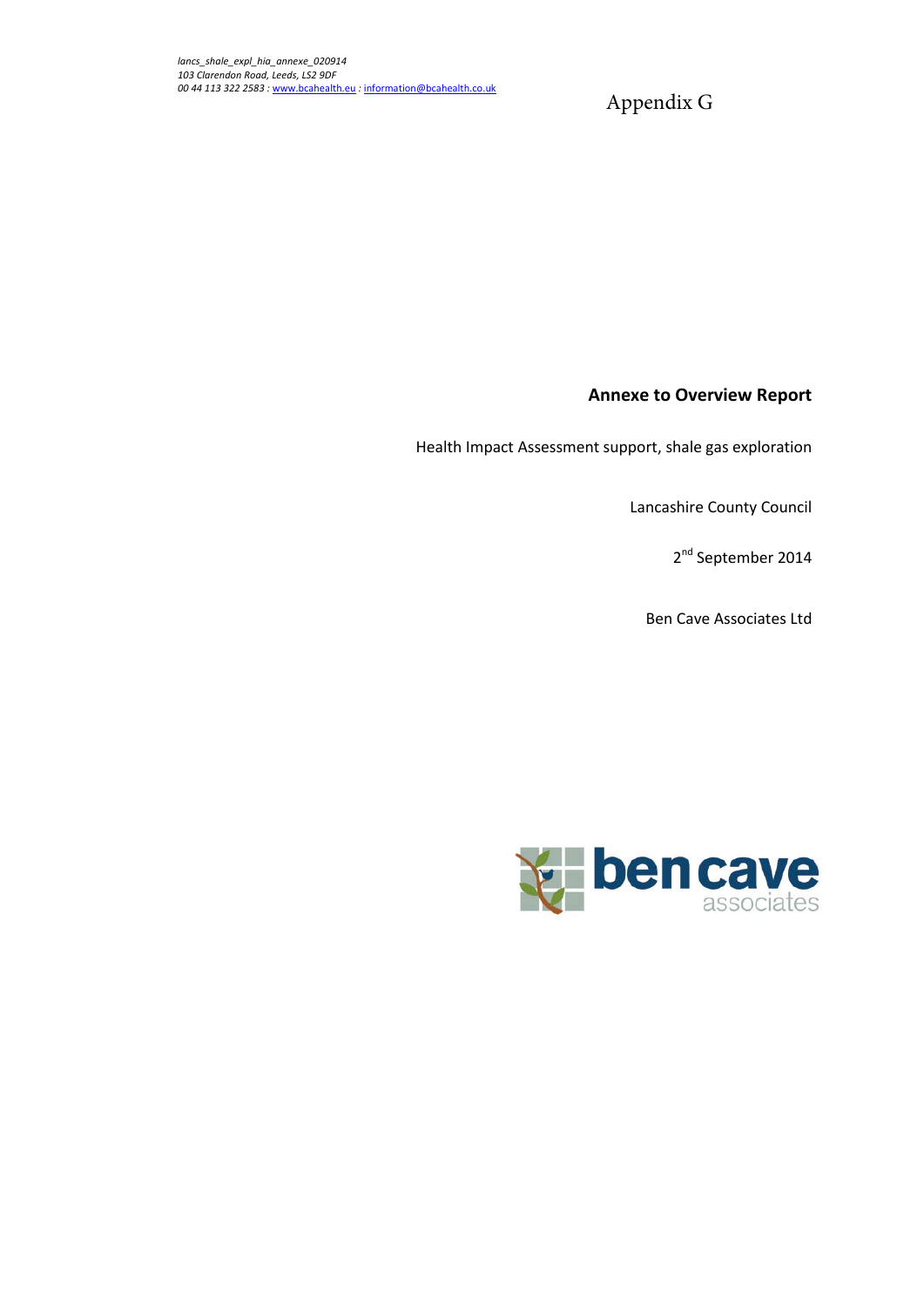Appendix G

### **Annexe to Overview Report**

Health Impact Assessment support, shale gas exploration

Lancashire County Council

2<sup>nd</sup> September 2014

Ben Cave Associates Ltd

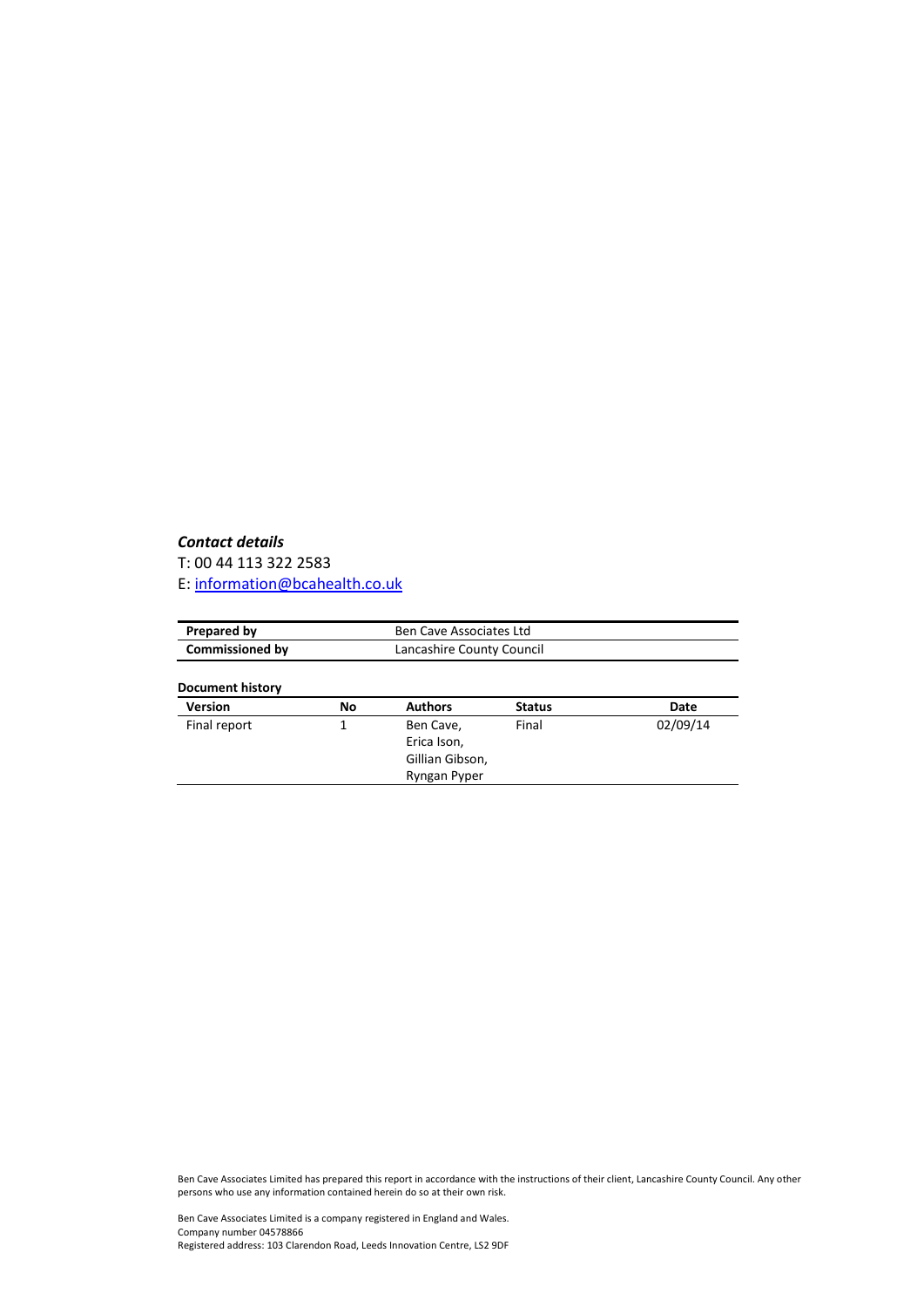### *Contact details*

T: 00 44 113 322 2583

E: [information@bcahealth.co.uk](mailto:information@bcahealth.co.uk)

| Prepared by            |    | <b>Ben Cave Associates Ltd</b>                              |               |          |  |
|------------------------|----|-------------------------------------------------------------|---------------|----------|--|
| <b>Commissioned by</b> |    | Lancashire County Council                                   |               |          |  |
| Document history       |    |                                                             |               |          |  |
| <b>Version</b>         | No | <b>Authors</b>                                              | <b>Status</b> | Date     |  |
| Final report<br>1      |    | Ben Cave,<br>Erica Ison,<br>Gillian Gibson,<br>Ryngan Pyper | Final         | 02/09/14 |  |

Ben Cave Associates Limited has prepared this report in accordance with the instructions of their client, Lancashire County Council. Any other persons who use any information contained herein do so at their own risk.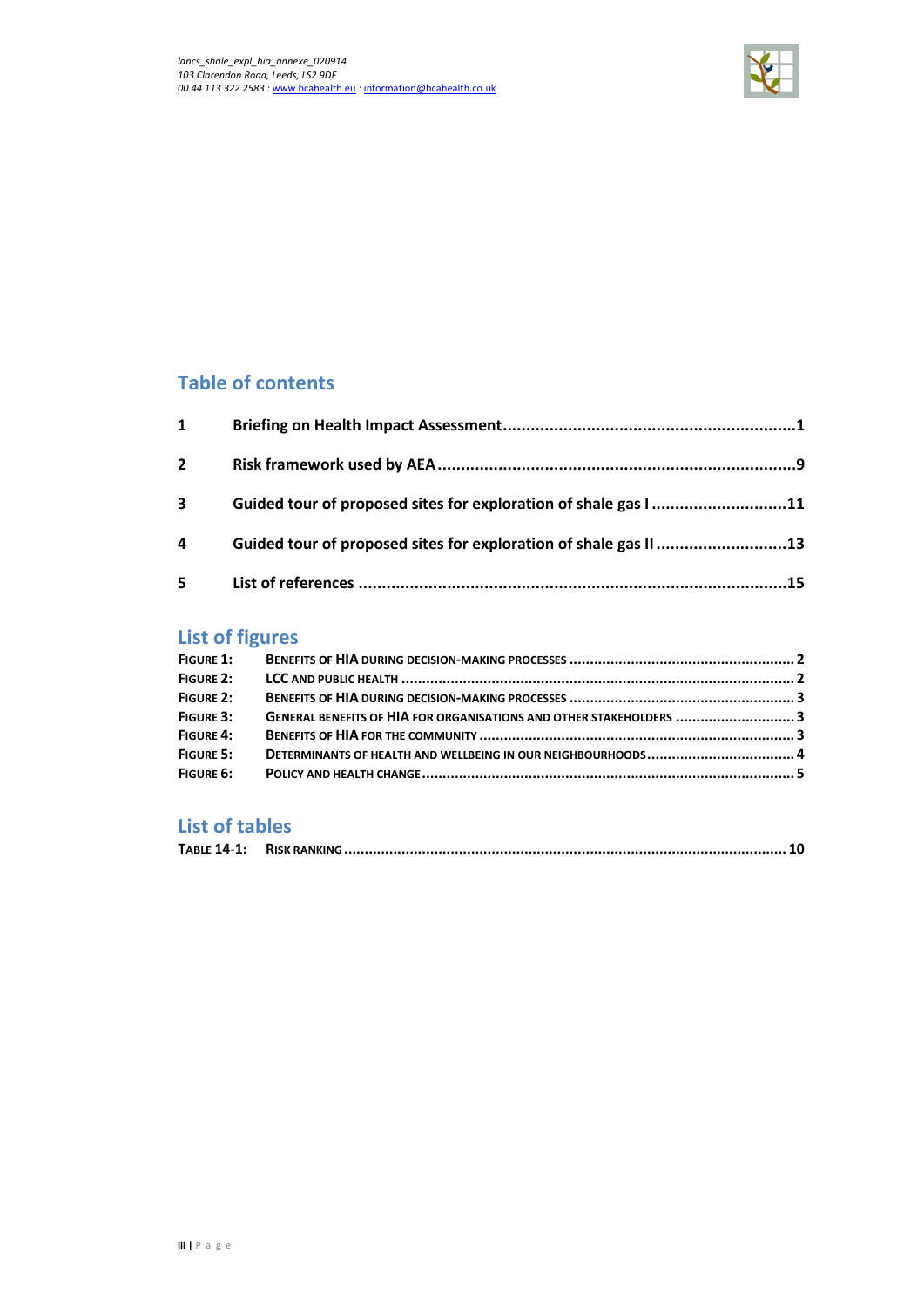

## **Table of contents**

| $\mathbf{1}$   |                                                                  |  |
|----------------|------------------------------------------------------------------|--|
| $\overline{2}$ |                                                                  |  |
| 3              | Guided tour of proposed sites for exploration of shale gas I11   |  |
| 4              | Guided tour of proposed sites for exploration of shale gas II 13 |  |
| 5              |                                                                  |  |

# **List of figures**

| FIGURE 1:        |                                                                     |  |
|------------------|---------------------------------------------------------------------|--|
| FIGURE 2:        |                                                                     |  |
| FIGURE 2:        |                                                                     |  |
| FIGURE 3:        | GENERAL BENEFITS OF HIA FOR ORGANISATIONS AND OTHER STAKEHOLDERS  3 |  |
| FIGURE 4:        |                                                                     |  |
| <b>FIGURE 5:</b> |                                                                     |  |
|                  |                                                                     |  |

## **List of tables**

|--|--|--|--|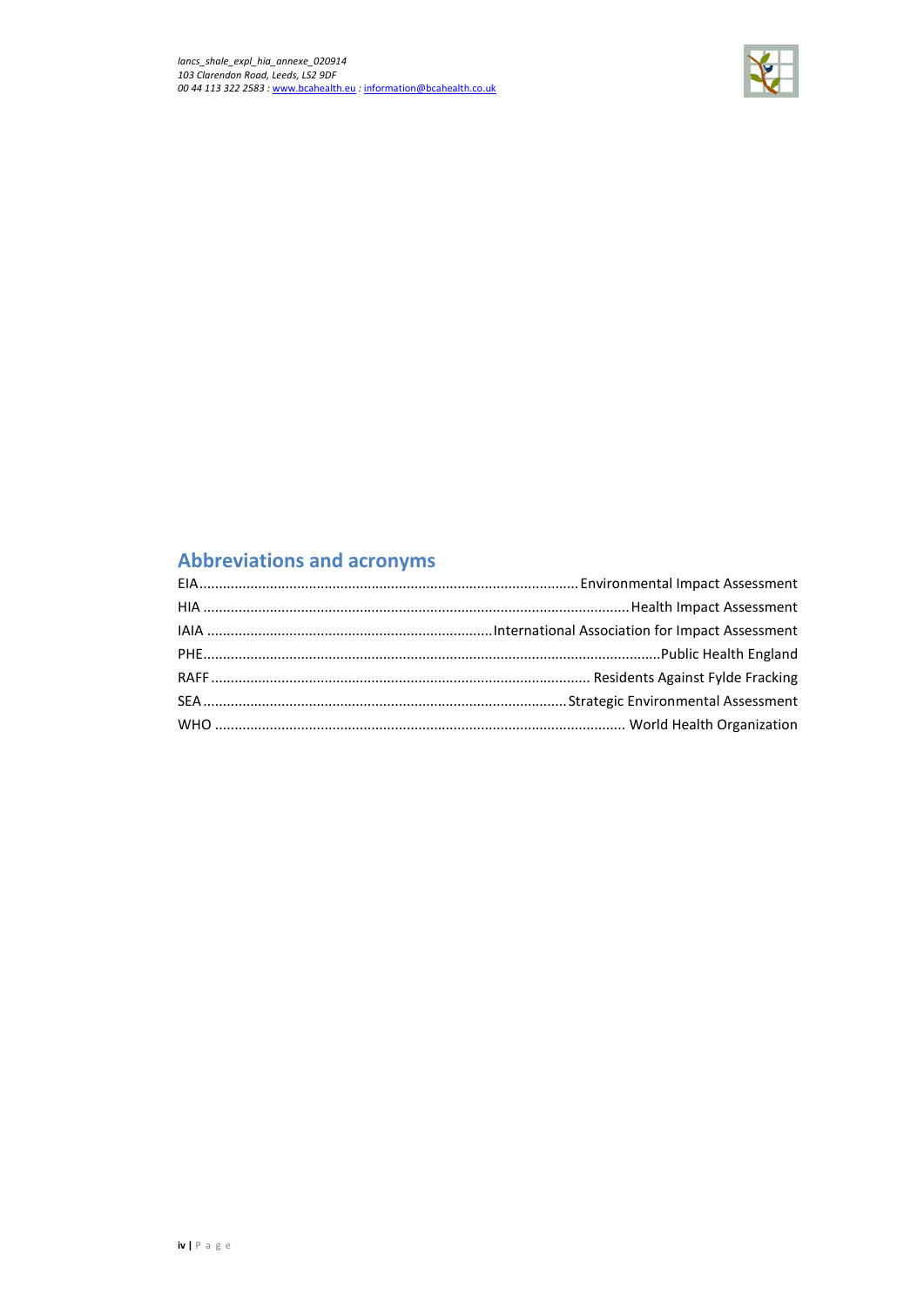

# **Abbreviations and acronyms**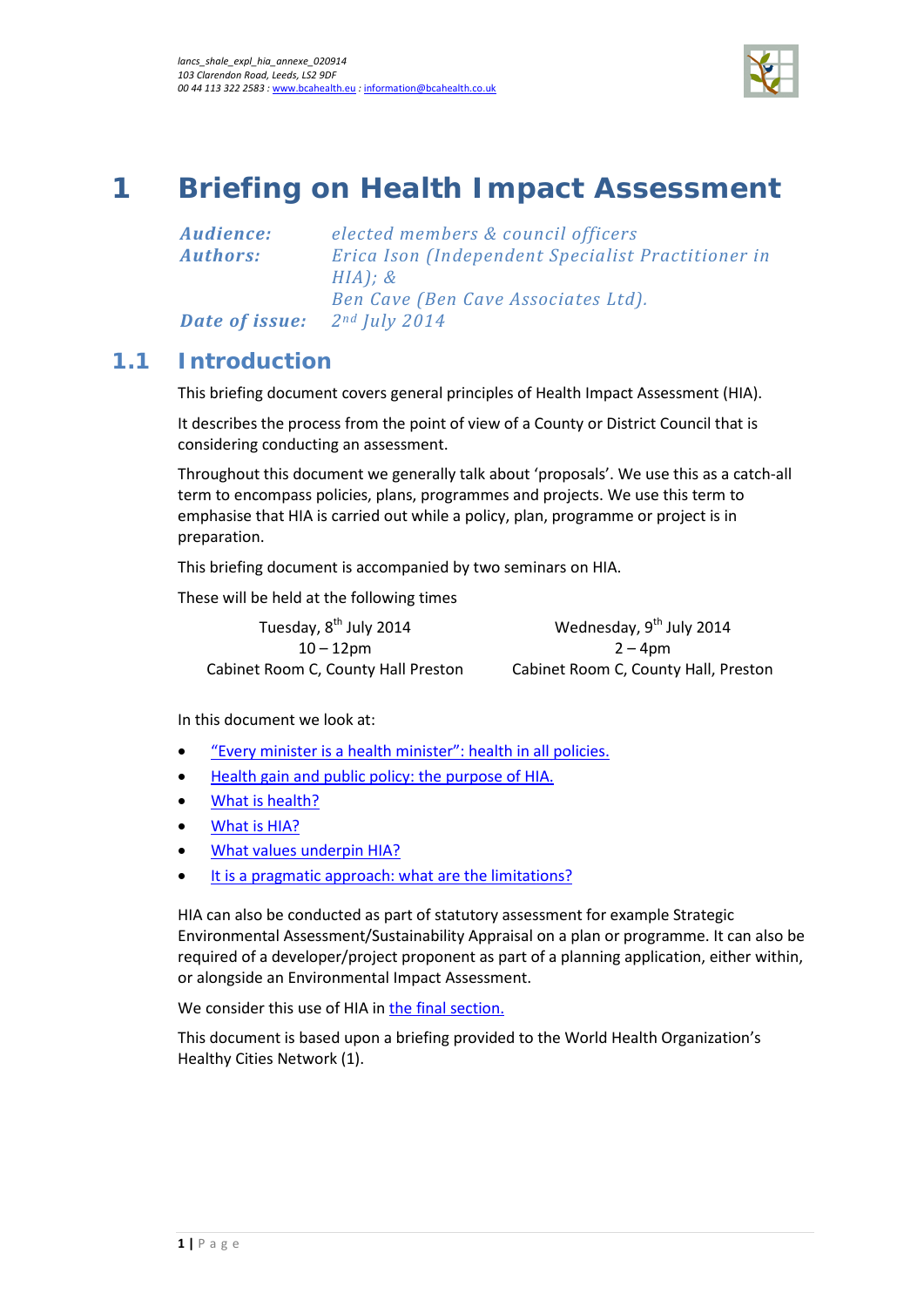

# <span id="page-4-0"></span>**1 Briefing on Health Impact Assessment**

*Audience: elected members & council officers Authors: Erica Ison (Independent Specialist Practitioner in HIA); & Ben Cave (Ben Cave Associates Ltd). Date of issue: 2nd July 2014*

## **1.1 Introduction**

This briefing document covers general principles of Health Impact Assessment (HIA).

It describes the process from the point of view of a County or District Council that is considering conducting an assessment.

Throughout this document we generally talk about 'proposals'. We use this as a catch-all term to encompass policies, plans, programmes and projects. We use this term to emphasise that HIA is carried out while a policy, plan, programme or project is in preparation.

This briefing document is accompanied by two seminars on HIA.

These will be held at the following times

Tuesday, 8<sup>th</sup> July 2014  $10 - 12$ pm

Cabinet Room C, County Hall Preston Cabinet Room C, County Hall, Preston Wednesday, 9<sup>th</sup> July 2014  $2 - 4$ pm

In this document we look at:

- "Every minister is a health minister": health in all policies.
- [Health gain and public policy: the purpose of HIA.](#page-6-0)
- [What is health?](#page-7-0)
- [What is HIA?](#page-8-0)
- What values underpin HIA?
- [It is a pragmatic approach: what are the limitations?](#page-10-0)

HIA can also be conducted as part of statutory assessment for example Strategic Environmental Assessment/Sustainability Appraisal on a plan or programme. It can also be required of a developer/project proponent as part of a planning application, either within, or alongside an Environmental Impact Assessment.

We consider this use of HIA i[n the final section.](#page-11-0)

This document is based upon a briefing provided to the World Health Organization's Healthy Cities Network (1).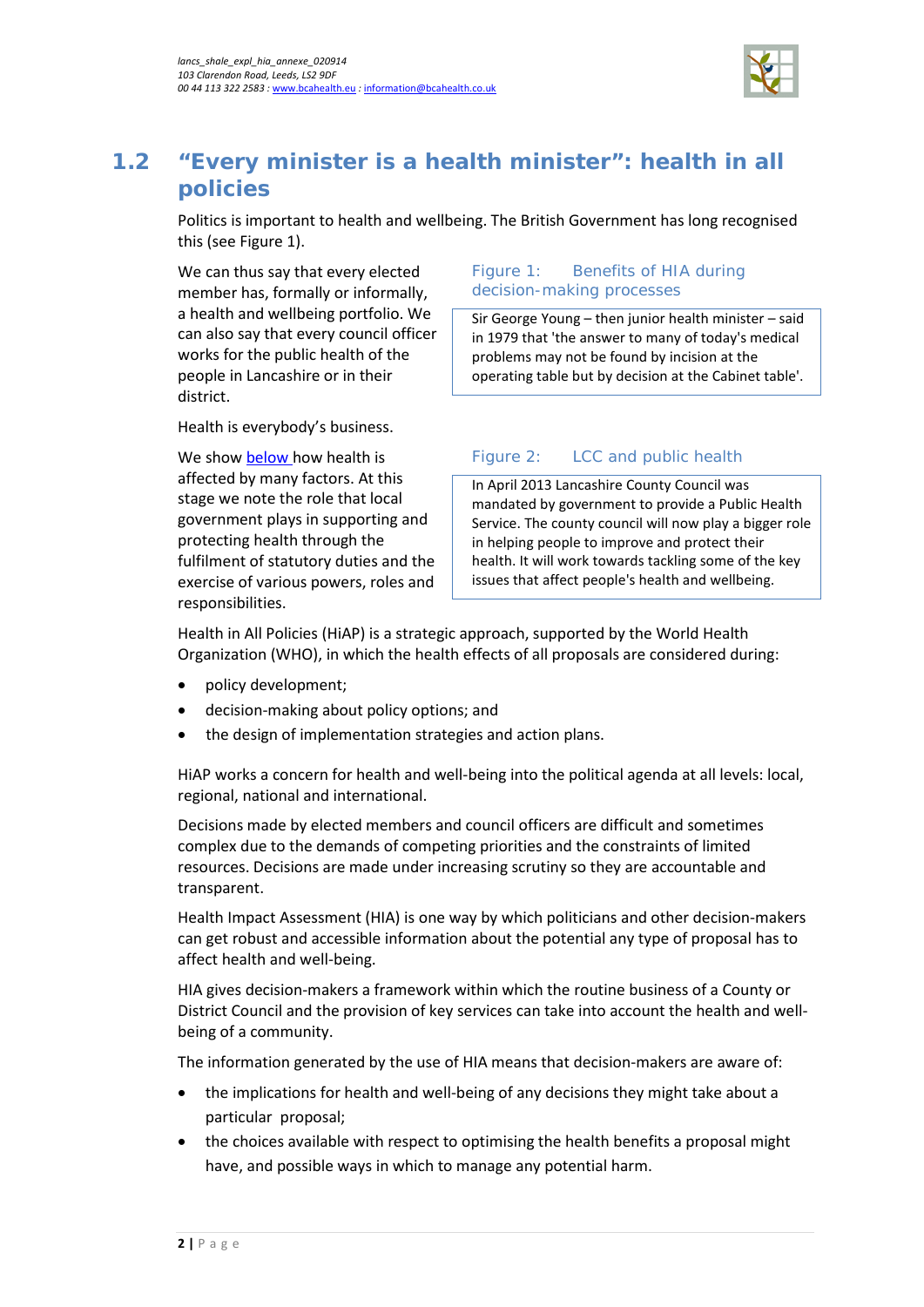

## **1.2 "Every minister is a health minister": health in all policies**

Politics is important to health and wellbeing. The British Government has long recognised this (se[e Figure 1\)](#page-5-0).

We can thus say that every elected member has, formally or informally, a health and wellbeing portfolio. We can also say that every council officer works for the public health of the people in Lancashire or in their district.

#### <span id="page-5-0"></span>Figure 1: Benefits of HIA during decision-making processes

Sir George Young – then junior health minister – said in 1979 that 'the answer to many of today's medical problems may not be found by incision at the operating table but by decision at the Cabinet table'.

Health is everybody's business.

We show [below h](#page-7-0)ow health is affected by many factors. At this stage we note the role that local government plays in supporting and protecting health through the fulfilment of statutory duties and the exercise of various powers, roles and responsibilities.

### Figure 2: LCC and public health

In April 2013 Lancashire County Council was mandated by government to provide a Public Health Service. The county council will now play a bigger role in helping people to improve and protect their health. It will work towards tackling some of the key issues that affect people's health and wellbeing.

Health in All Policies (HiAP) is a strategic approach, supported by the World Health Organization (WHO), in which the health effects of all proposals are considered during:

- policy development;
- decision-making about policy options; and
- the design of implementation strategies and action plans.

HiAP works a concern for health and well-being into the political agenda at all levels: local, regional, national and international.

Decisions made by elected members and council officers are difficult and sometimes complex due to the demands of competing priorities and the constraints of limited resources. Decisions are made under increasing scrutiny so they are accountable and transparent.

Health Impact Assessment (HIA) is one way by which politicians and other decision-makers can get robust and accessible information about the potential any type of proposal has to affect health and well-being.

HIA gives decision-makers a framework within which the routine business of a County or District Council and the provision of key services can take into account the health and wellbeing of a community.

The information generated by the use of HIA means that decision-makers are aware of:

- the implications for health and well-being of any decisions they might take about a particular proposal;
- the choices available with respect to optimising the health benefits a proposal might have, and possible ways in which to manage any potential harm.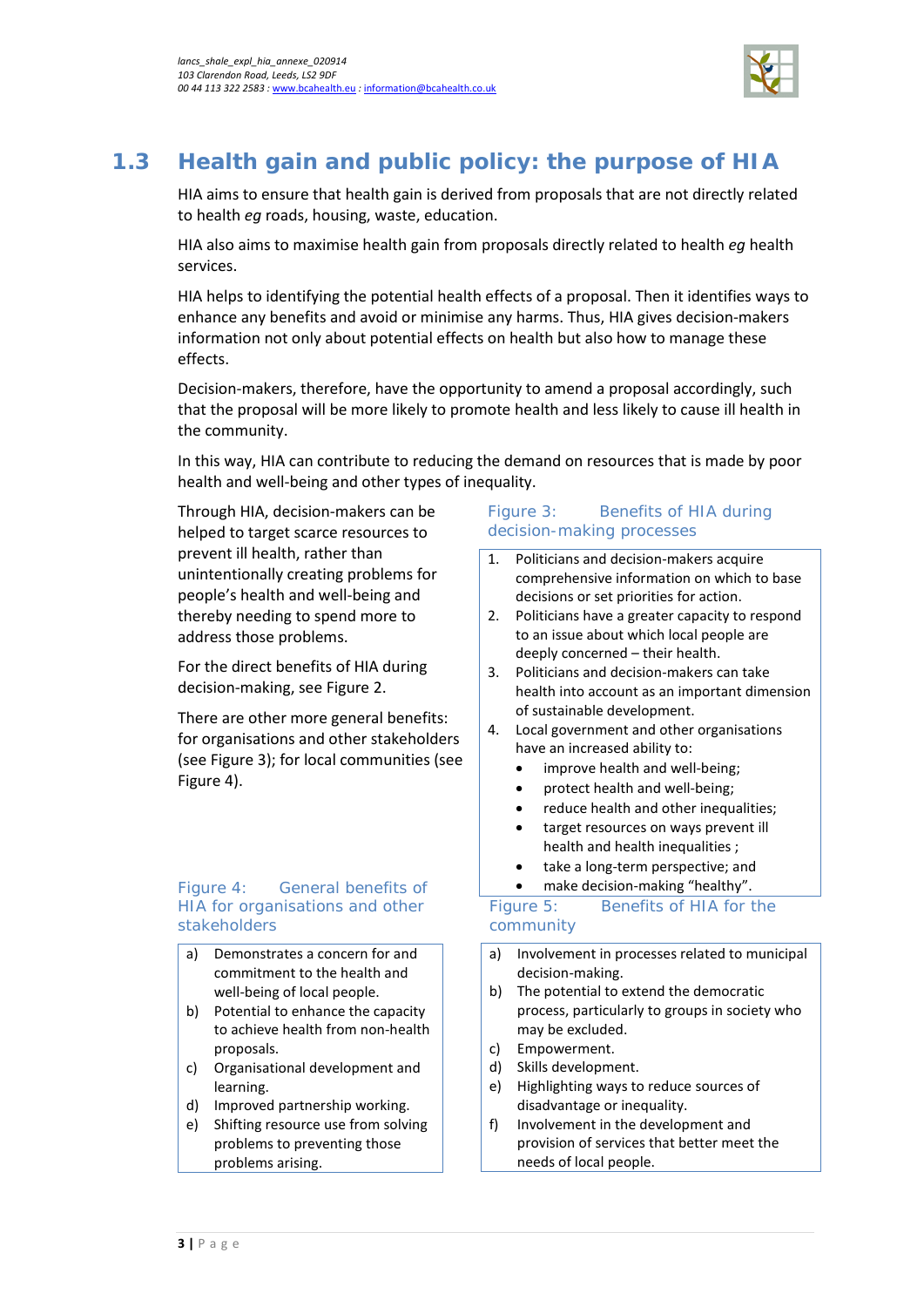

# <span id="page-6-0"></span>**1.3 Health gain and public policy: the purpose of HIA**

HIA aims to ensure that health gain is derived from proposals that are not directly related to health *eg* roads, housing, waste, education.

HIA also aims to maximise health gain from proposals directly related to health *eg* health services.

HIA helps to identifying the potential health effects of a proposal. Then it identifies ways to enhance any benefits and avoid or minimise any harms. Thus, HIA gives decision-makers information not only about potential effects on health but also how to manage these effects.

Decision-makers, therefore, have the opportunity to amend a proposal accordingly, such that the proposal will be more likely to promote health and less likely to cause ill health in the community.

In this way, HIA can contribute to reducing the demand on resources that is made by poor health and well-being and other types of inequality.

Through HIA, decision-makers can be helped to target scarce resources to prevent ill health, rather than unintentionally creating problems for people's health and well-being and thereby needing to spend more to address those problems.

For the direct benefits of HIA during decision-making, see [Figure 2.](#page-6-1)

There are other more general benefits: for organisations and other stakeholders (se[e Figure 3\)](#page-6-2); for local communities (see [Figure 4\)](#page-6-3).

#### <span id="page-6-2"></span>Figure 4: General benefits of HIA for organisations and other stakeholders

- a) Demonstrates a concern for and commitment to the health and well-being of local people.
- b) Potential to enhance the capacity to achieve health from non-health proposals.
- c) Organisational development and learning.
- d) Improved partnership working.
- e) Shifting resource use from solving problems to preventing those problems arising.

#### <span id="page-6-1"></span>Figure 3: Benefits of HIA during decision-making processes

- 1. Politicians and decision-makers acquire comprehensive information on which to base decisions or set priorities for action.
- 2. Politicians have a greater capacity to respond to an issue about which local people are deeply concerned – their health.
- 3. Politicians and decision-makers can take health into account as an important dimension of sustainable development.
- 4. Local government and other organisations have an increased ability to:
	- improve health and well-being;
	- protect health and well-being;
	- reduce health and other inequalities;
	- target resources on ways prevent ill health and health inequalities ;
	- take a long-term perspective; and
	- make decision-making "healthy".

#### <span id="page-6-3"></span>Figure 5: Benefits of HIA for the community

- a) Involvement in processes related to municipal decision-making.
- b) The potential to extend the democratic process, particularly to groups in society who may be excluded.
- c) Empowerment.
- d) Skills development.
- e) Highlighting ways to reduce sources of disadvantage or inequality.
- f) Involvement in the development and provision of services that better meet the needs of local people.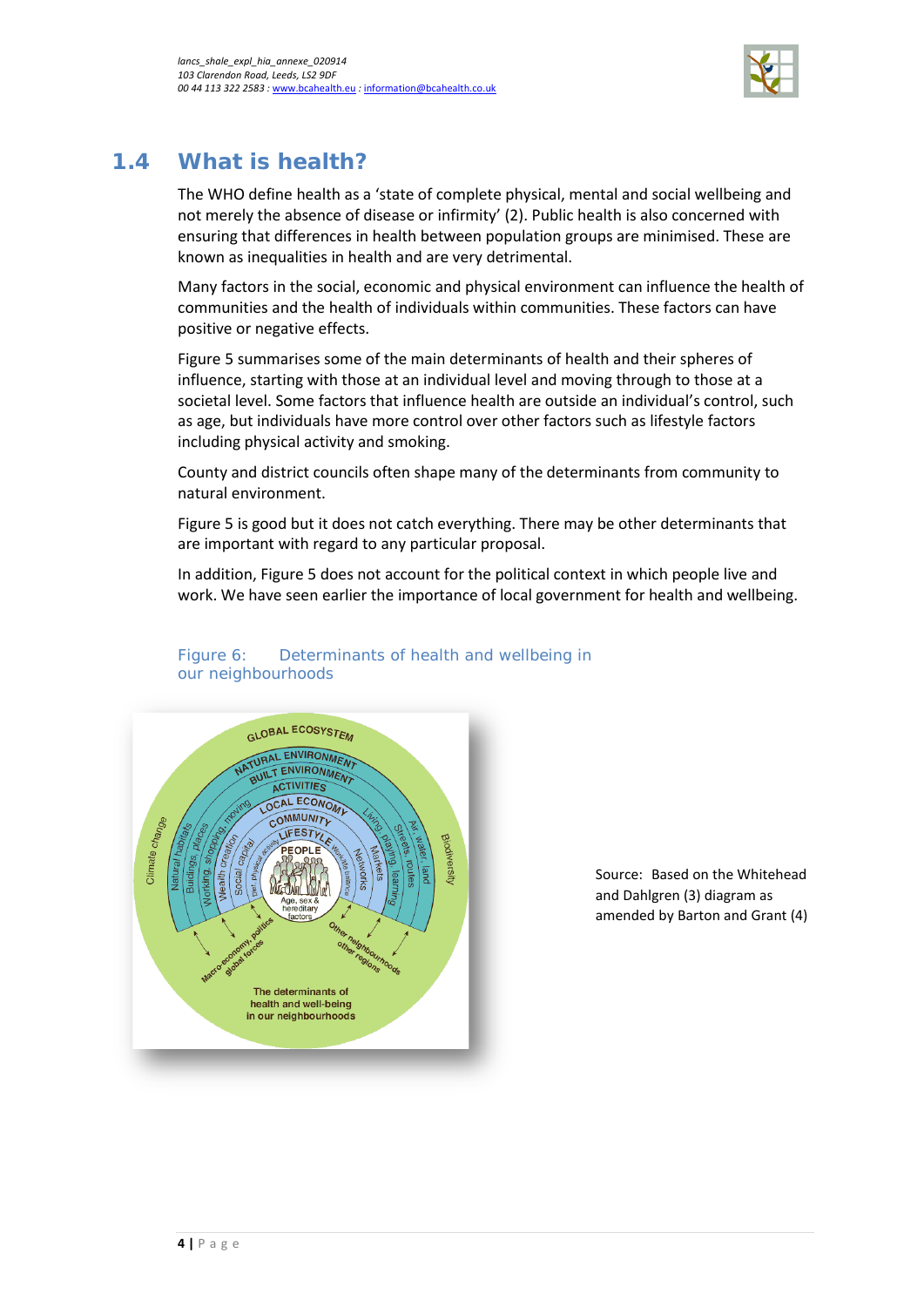

## <span id="page-7-0"></span>**1.4 What is health?**

The WHO define health as a 'state of complete physical, mental and social wellbeing and not merely the absence of disease or infirmity' (2). Public health is also concerned with ensuring that differences in health between population groups are minimised. These are known as inequalities in health and are very detrimental.

Many factors in the social, economic and physical environment can influence the health of communities and the health of individuals within communities. These factors can have positive or negative effects.

[Figure 5](#page-7-1) summarises some of the main determinants of health and their spheres of influence, starting with those at an individual level and moving through to those at a societal level. Some factors that influence health are outside an individual's control, such as age, but individuals have more control over other factors such as lifestyle factors including physical activity and smoking.

County and district councils often shape many of the determinants from community to natural environment.

[Figure 5](#page-7-1) is good but it does not catch everything. There may be other determinants that are important with regard to any particular proposal.

In addition, [Figure 5](#page-7-1) does not account for the political context in which people live and work. We have seen earlier the importance of local government for health and wellbeing.

<span id="page-7-1"></span>

#### Figure 6: Determinants of health and wellbeing in our neighbourhoods

Source: Based on the Whitehead and Dahlgren (3) diagram as amended by Barton and Grant (4)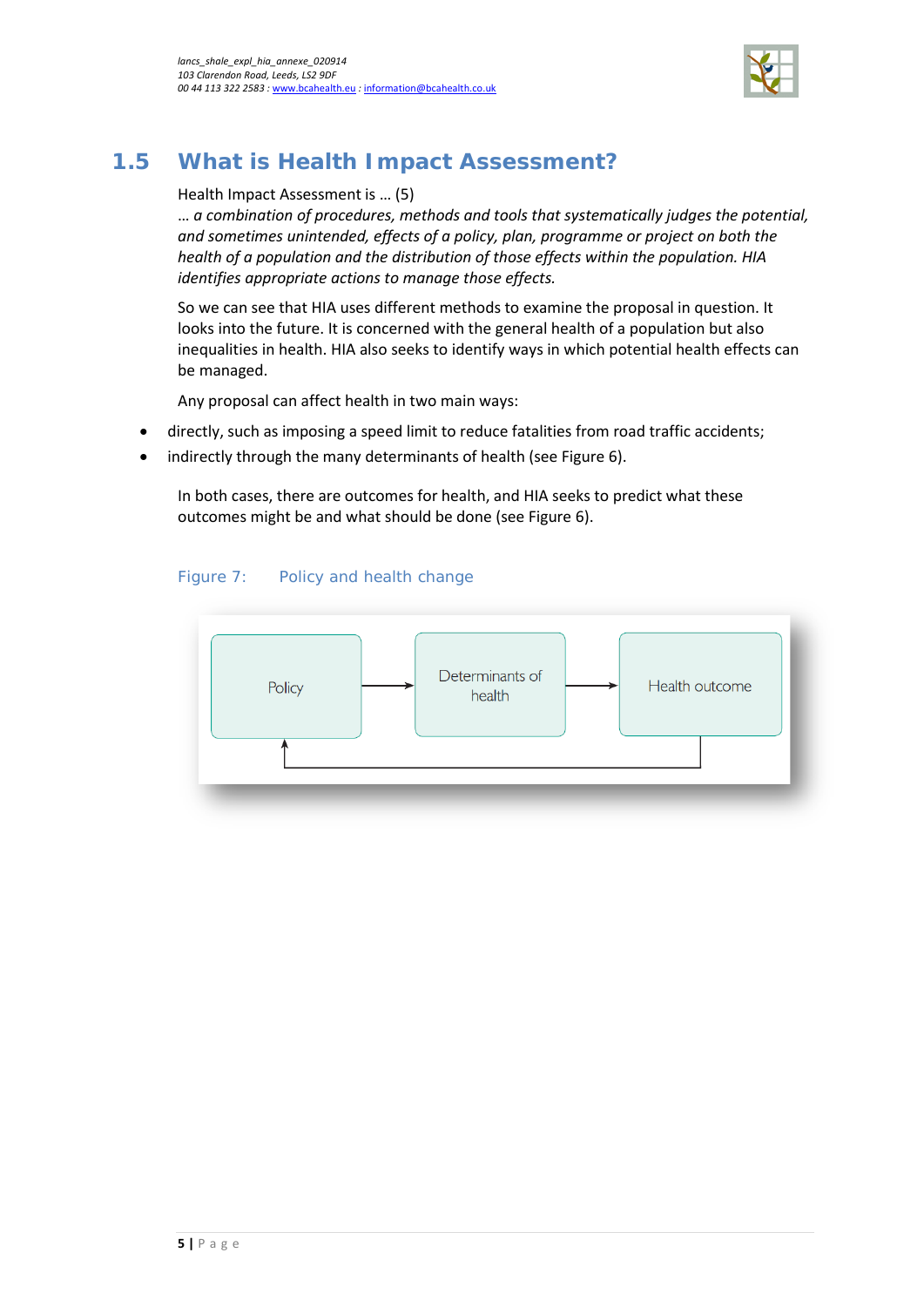

## <span id="page-8-0"></span>**1.5 What is Health Impact Assessment?**

#### Health Impact Assessment is … (5)

… *a combination of procedures, methods and tools that systematically judges the potential, and sometimes unintended, effects of a policy, plan, programme or project on both the health of a population and the distribution of those effects within the population. HIA identifies appropriate actions to manage those effects.*

So we can see that HIA uses different methods to examine the proposal in question. It looks into the future. It is concerned with the general health of a population but also inequalities in health. HIA also seeks to identify ways in which potential health effects can be managed.

Any proposal can affect health in two main ways:

- directly, such as imposing a speed limit to reduce fatalities from road traffic accidents;
- indirectly through the many determinants of health (see [Figure 6\)](#page-8-1).

In both cases, there are outcomes for health, and HIA seeks to predict what these outcomes might be and what should be done (se[e Figure 6\)](#page-8-1).

#### Figure 7: Policy and health change

<span id="page-8-1"></span>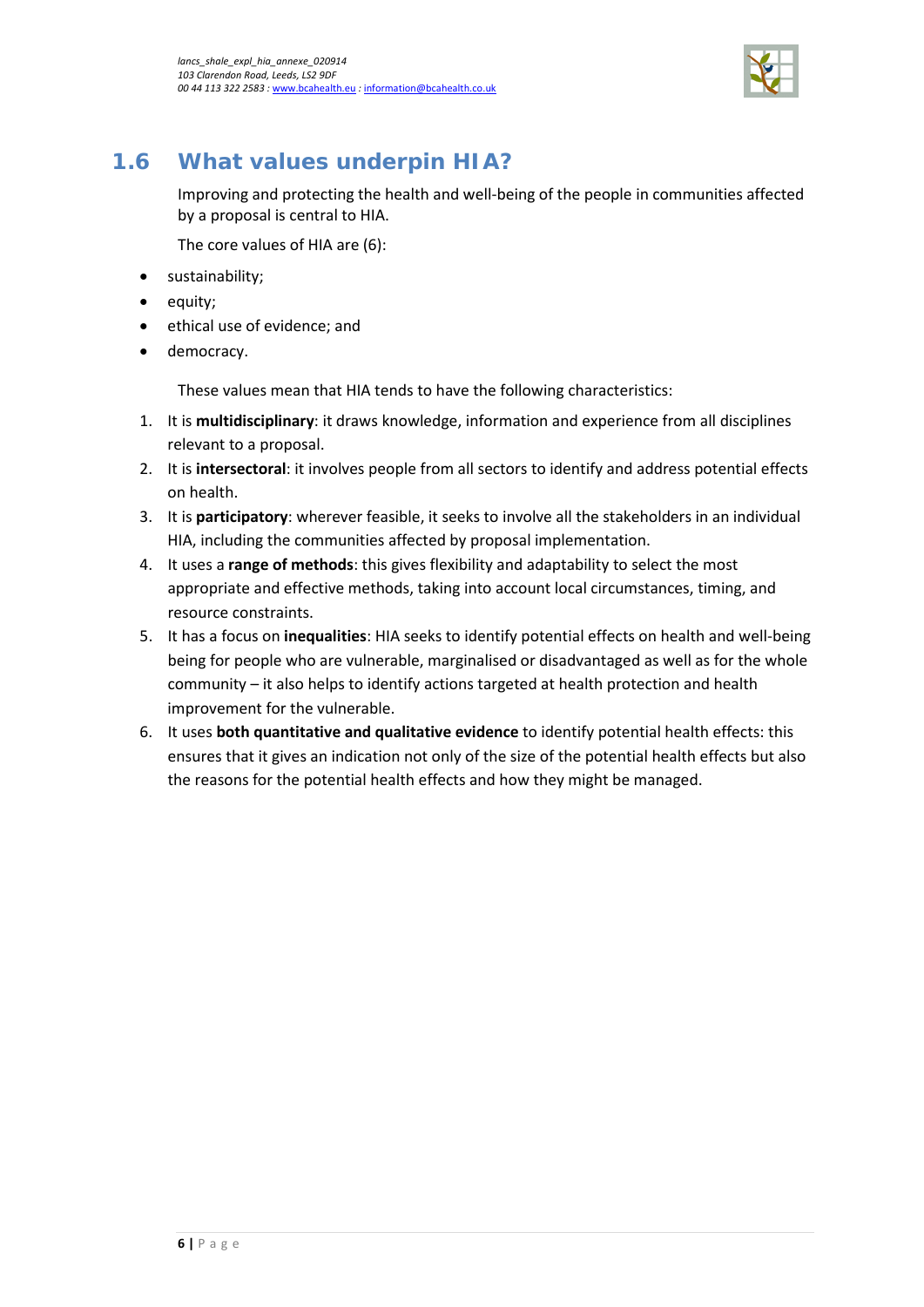

## <span id="page-9-0"></span>**1.6 What values underpin HIA?**

Improving and protecting the health and well-being of the people in communities affected by a proposal is central to HIA.

The core values of HIA are (6):

- sustainability;
- equity;
- ethical use of evidence; and
- democracy.

These values mean that HIA tends to have the following characteristics:

- 1. It is **multidisciplinary**: it draws knowledge, information and experience from all disciplines relevant to a proposal.
- 2. It is **intersectoral**: it involves people from all sectors to identify and address potential effects on health.
- 3. It is **participatory**: wherever feasible, it seeks to involve all the stakeholders in an individual HIA, including the communities affected by proposal implementation.
- 4. It uses a **range of methods**: this gives flexibility and adaptability to select the most appropriate and effective methods, taking into account local circumstances, timing, and resource constraints.
- 5. It has a focus on **inequalities**: HIA seeks to identify potential effects on health and well-being being for people who are vulnerable, marginalised or disadvantaged as well as for the whole community – it also helps to identify actions targeted at health protection and health improvement for the vulnerable.
- 6. It uses **both quantitative and qualitative evidence** to identify potential health effects: this ensures that it gives an indication not only of the size of the potential health effects but also the reasons for the potential health effects and how they might be managed.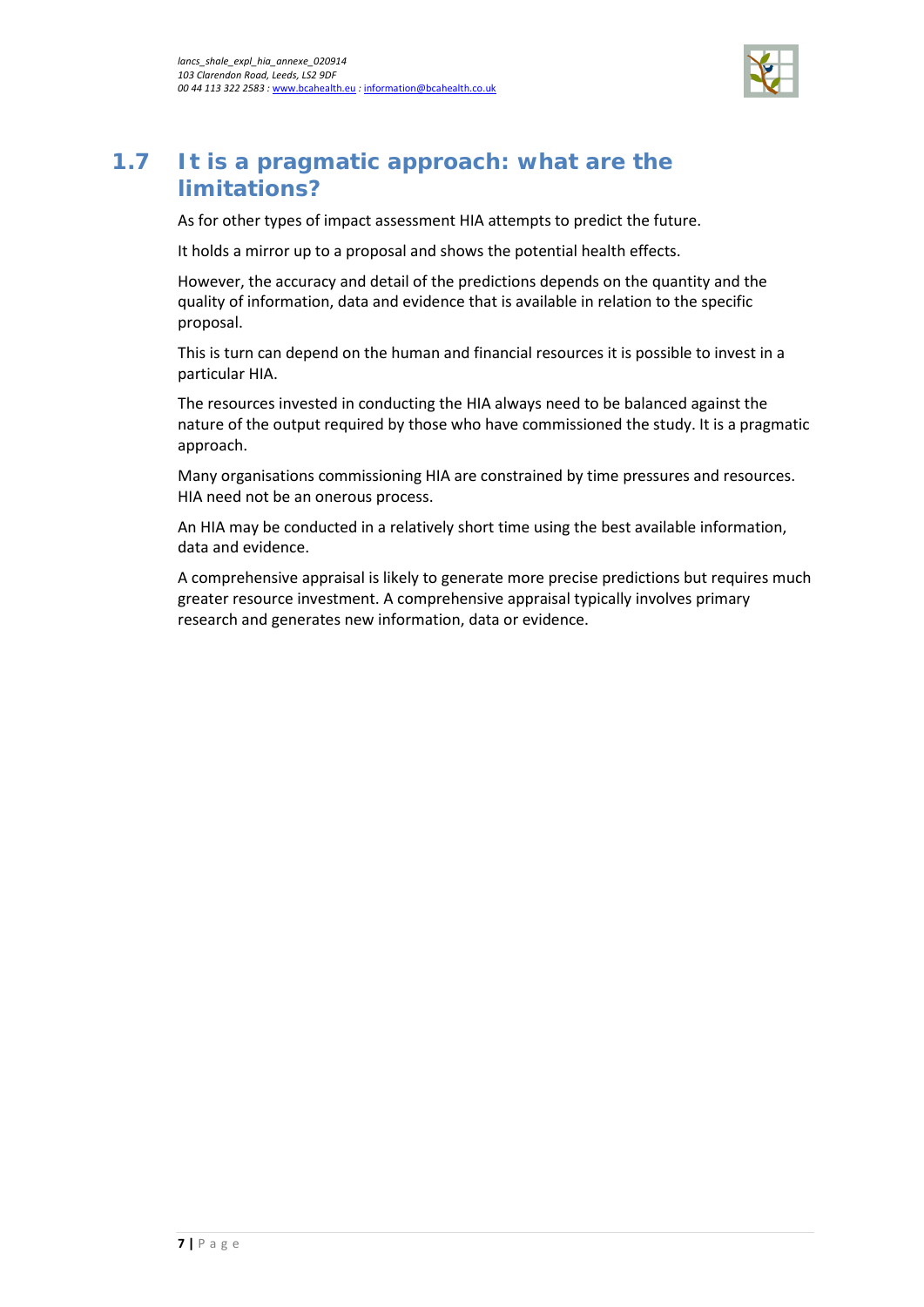

## <span id="page-10-0"></span>**1.7 It is a pragmatic approach: what are the limitations?**

As for other types of impact assessment HIA attempts to predict the future.

It holds a mirror up to a proposal and shows the potential health effects.

However, the accuracy and detail of the predictions depends on the quantity and the quality of information, data and evidence that is available in relation to the specific proposal.

This is turn can depend on the human and financial resources it is possible to invest in a particular HIA.

The resources invested in conducting the HIA always need to be balanced against the nature of the output required by those who have commissioned the study. It is a pragmatic approach.

Many organisations commissioning HIA are constrained by time pressures and resources. HIA need not be an onerous process.

An HIA may be conducted in a relatively short time using the best available information, data and evidence.

A comprehensive appraisal is likely to generate more precise predictions but requires much greater resource investment. A comprehensive appraisal typically involves primary research and generates new information, data or evidence.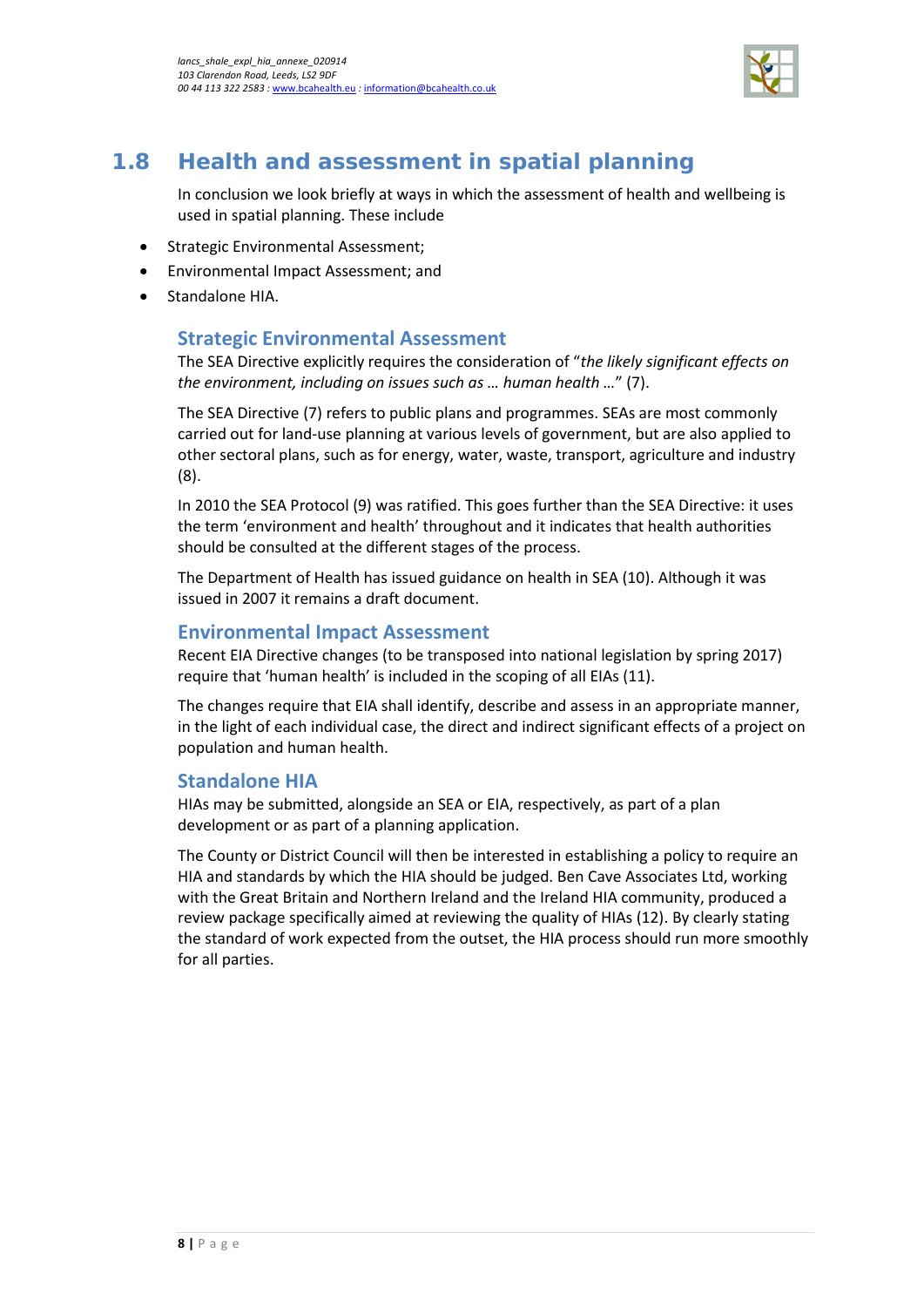

## <span id="page-11-0"></span>**1.8 Health and assessment in spatial planning**

In conclusion we look briefly at ways in which the assessment of health and wellbeing is used in spatial planning. These include

- Strategic Environmental Assessment;
- Environmental Impact Assessment; and
- Standalone HIA.

### **Strategic Environmental Assessment**

The SEA Directive explicitly requires the consideration of "*the likely significant effects on the environment, including on issues such as … human health …*" (7).

The SEA Directive (7) refers to public plans and programmes. SEAs are most commonly carried out for land-use planning at various levels of government, but are also applied to other sectoral plans, such as for energy, water, waste, transport, agriculture and industry (8).

In 2010 the SEA Protocol (9) was ratified. This goes further than the SEA Directive: it uses the term 'environment and health' throughout and it indicates that health authorities should be consulted at the different stages of the process.

The Department of Health has issued guidance on health in SEA (10). Although it was issued in 2007 it remains a draft document.

#### **Environmental Impact Assessment**

Recent EIA Directive changes (to be transposed into national legislation by spring 2017) require that 'human health' is included in the scoping of all EIAs (11).

The changes require that EIA shall identify, describe and assess in an appropriate manner, in the light of each individual case, the direct and indirect significant effects of a project on population and human health.

#### **Standalone HIA**

HIAs may be submitted, alongside an SEA or EIA, respectively, as part of a plan development or as part of a planning application.

The County or District Council will then be interested in establishing a policy to require an HIA and standards by which the HIA should be judged. Ben Cave Associates Ltd, working with the Great Britain and Northern Ireland and the Ireland HIA community, produced a review package specifically aimed at reviewing the quality of HIAs (12). By clearly stating the standard of work expected from the outset, the HIA process should run more smoothly for all parties.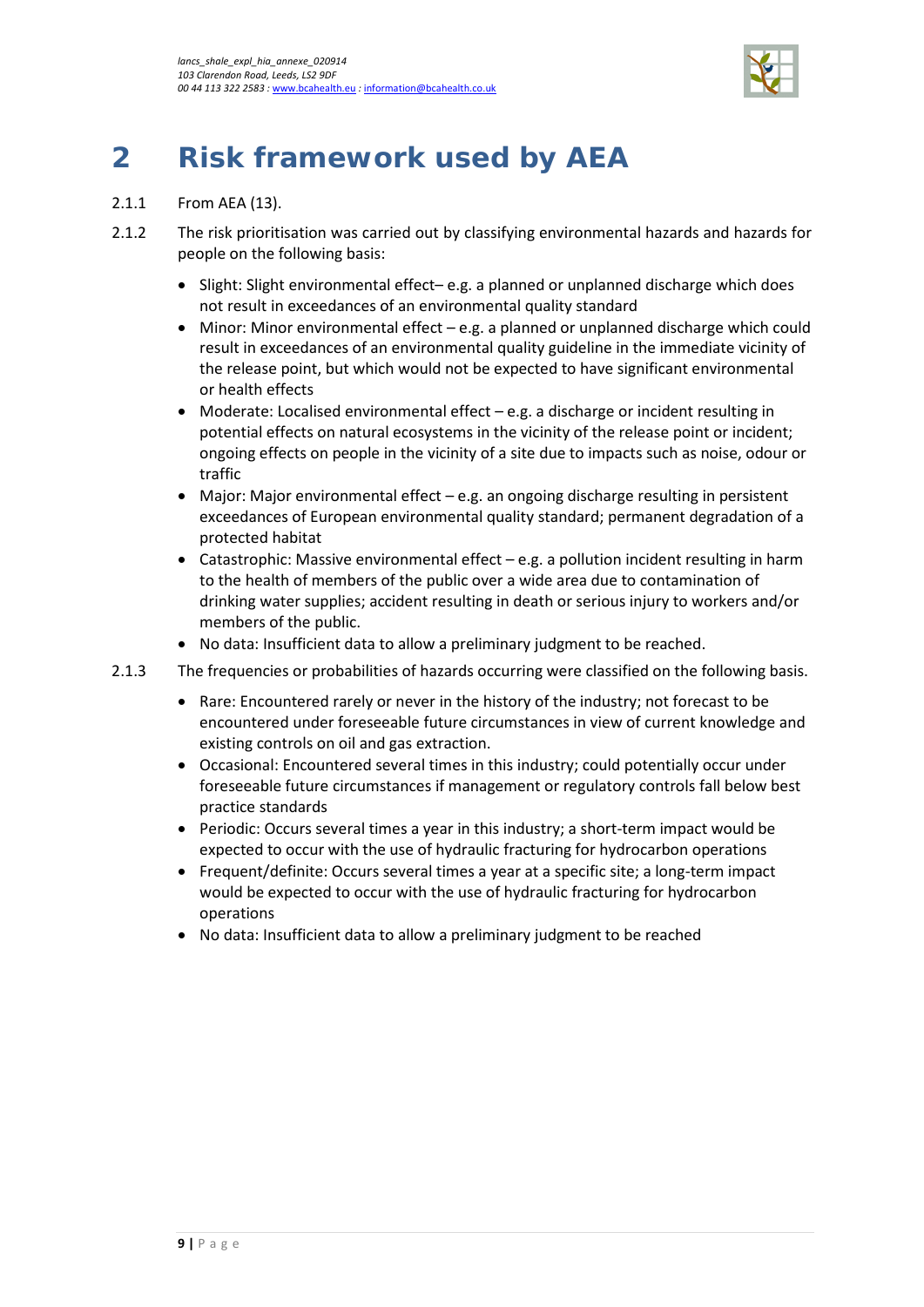

# <span id="page-12-0"></span>**2 Risk framework used by AEA**

- 2.1.1 From AEA (13).
- 2.1.2 The risk prioritisation was carried out by classifying environmental hazards and hazards for people on the following basis:
	- Slight: Slight environmental effect– e.g. a planned or unplanned discharge which does not result in exceedances of an environmental quality standard
	- Minor: Minor environmental effect e.g. a planned or unplanned discharge which could result in exceedances of an environmental quality guideline in the immediate vicinity of the release point, but which would not be expected to have significant environmental or health effects
	- Moderate: Localised environmental effect e.g. a discharge or incident resulting in potential effects on natural ecosystems in the vicinity of the release point or incident; ongoing effects on people in the vicinity of a site due to impacts such as noise, odour or traffic
	- Major: Major environmental effect e.g. an ongoing discharge resulting in persistent exceedances of European environmental quality standard; permanent degradation of a protected habitat
	- Catastrophic: Massive environmental effect e.g. a pollution incident resulting in harm to the health of members of the public over a wide area due to contamination of drinking water supplies; accident resulting in death or serious injury to workers and/or members of the public.
	- No data: Insufficient data to allow a preliminary judgment to be reached.
- 2.1.3 The frequencies or probabilities of hazards occurring were classified on the following basis.
	- Rare: Encountered rarely or never in the history of the industry; not forecast to be encountered under foreseeable future circumstances in view of current knowledge and existing controls on oil and gas extraction.
	- Occasional: Encountered several times in this industry; could potentially occur under foreseeable future circumstances if management or regulatory controls fall below best practice standards
	- Periodic: Occurs several times a year in this industry; a short-term impact would be expected to occur with the use of hydraulic fracturing for hydrocarbon operations
	- Frequent/definite: Occurs several times a year at a specific site; a long-term impact would be expected to occur with the use of hydraulic fracturing for hydrocarbon operations
	- No data: Insufficient data to allow a preliminary judgment to be reached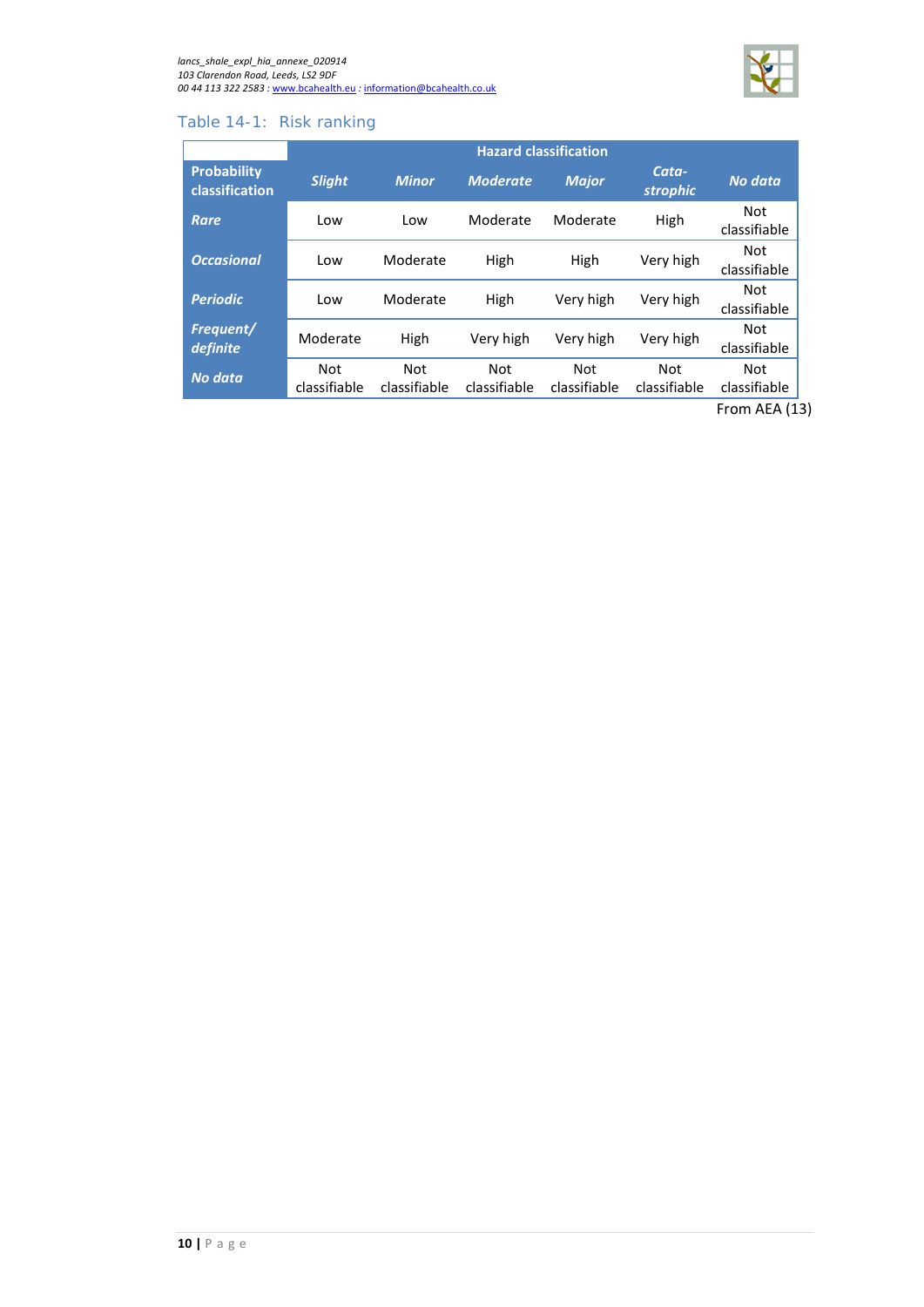

### <span id="page-13-0"></span>Table 14-1: Risk ranking

|                               | <b>Hazard classification</b> |                     |                            |                            |                          |                     |
|-------------------------------|------------------------------|---------------------|----------------------------|----------------------------|--------------------------|---------------------|
| Probability<br>classification | <b>Slight</b>                | <b>Minor</b>        | <b>Moderate</b>            | <b>Major</b>               | Cata-<br><b>strophic</b> | No data             |
| <b>Rare</b>                   | Low                          | Low                 | Moderate                   | Moderate                   | High                     | Not<br>classifiable |
| <b>Occasional</b>             | Low                          | Moderate            | High                       | High                       | Very high                | Not<br>classifiable |
| <b>Periodic</b>               | Low                          | Moderate            | High                       | Very high                  | Very high                | Not<br>classifiable |
| Frequent/<br>definite         | Moderate                     | High                | Very high                  | Very high                  | Very high                | Not<br>classifiable |
| <b>No data</b>                | <b>Not</b><br>classifiable   | Not<br>classifiable | <b>Not</b><br>classifiable | <b>Not</b><br>classifiable | Not<br>classifiable      | Not<br>classifiable |
|                               |                              |                     |                            |                            |                          | From AEA (13)       |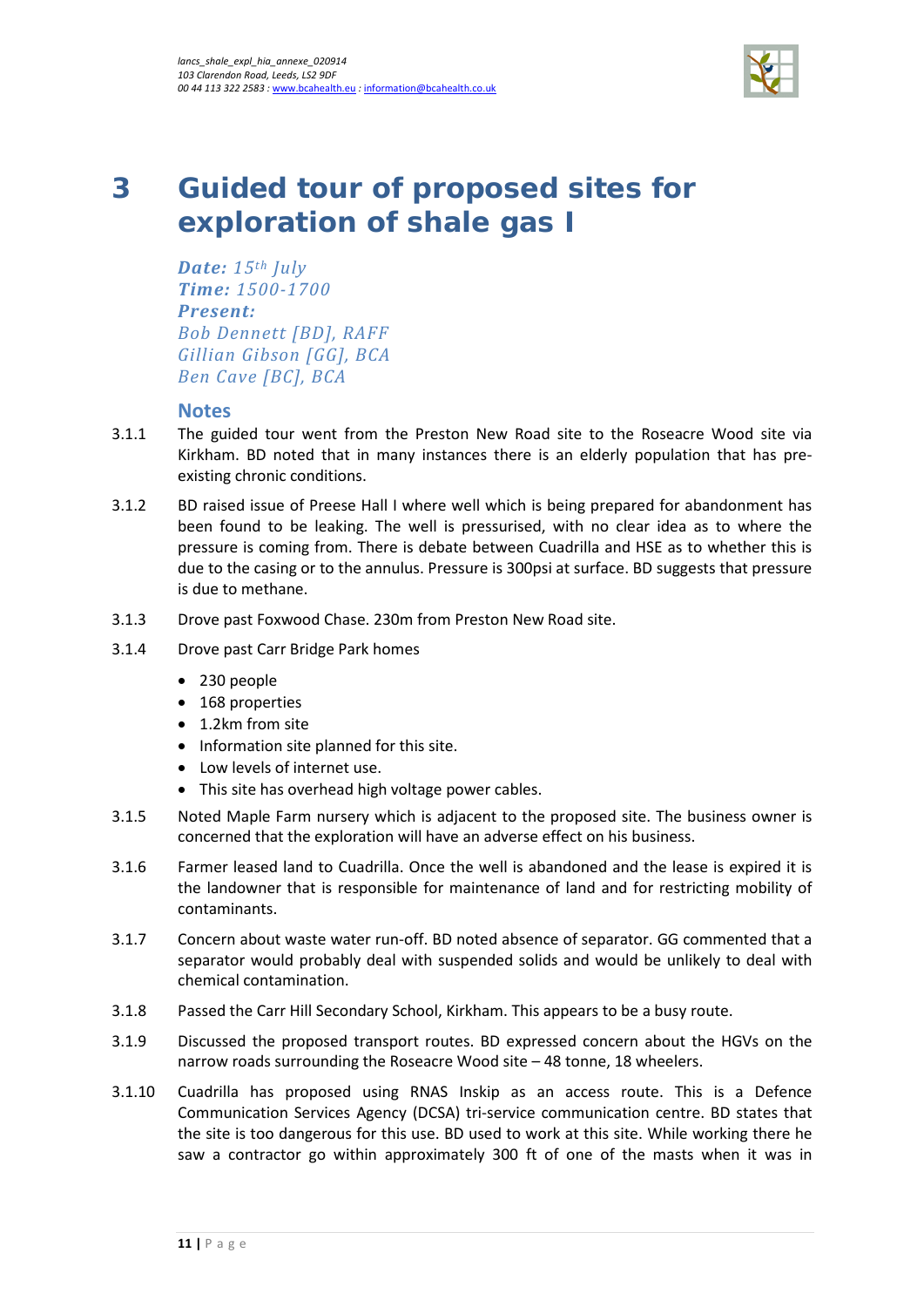

# <span id="page-14-0"></span>**3 Guided tour of proposed sites for exploration of shale gas I**

*Date: 15th July Time: 1500-1700 Present: Bob Dennett [BD], RAFF Gillian Gibson [GG], BCA Ben Cave [BC], BCA*

#### **Notes**

- 3.1.1 The guided tour went from the Preston New Road site to the Roseacre Wood site via Kirkham. BD noted that in many instances there is an elderly population that has preexisting chronic conditions.
- 3.1.2 BD raised issue of Preese Hall I where well which is being prepared for abandonment has been found to be leaking. The well is pressurised, with no clear idea as to where the pressure is coming from. There is debate between Cuadrilla and HSE as to whether this is due to the casing or to the annulus. Pressure is 300psi at surface. BD suggests that pressure is due to methane.
- 3.1.3 Drove past Foxwood Chase. 230m from Preston New Road site.
- 3.1.4 Drove past Carr Bridge Park homes
	- 230 people
	- 168 properties
	- 1.2km from site
	- Information site planned for this site.
	- Low levels of internet use.
	- This site has overhead high voltage power cables.
- 3.1.5 Noted Maple Farm nursery which is adjacent to the proposed site. The business owner is concerned that the exploration will have an adverse effect on his business.
- 3.1.6 Farmer leased land to Cuadrilla. Once the well is abandoned and the lease is expired it is the landowner that is responsible for maintenance of land and for restricting mobility of contaminants.
- 3.1.7 Concern about waste water run-off. BD noted absence of separator. GG commented that a separator would probably deal with suspended solids and would be unlikely to deal with chemical contamination.
- 3.1.8 Passed the Carr Hill Secondary School, Kirkham. This appears to be a busy route.
- 3.1.9 Discussed the proposed transport routes. BD expressed concern about the HGVs on the narrow roads surrounding the Roseacre Wood site – 48 tonne, 18 wheelers.
- 3.1.10 Cuadrilla has proposed using RNAS Inskip as an access route. This is a Defence Communication Services Agency (DCSA) tri-service communication centre. BD states that the site is too dangerous for this use. BD used to work at this site. While working there he saw a contractor go within approximately 300 ft of one of the masts when it was in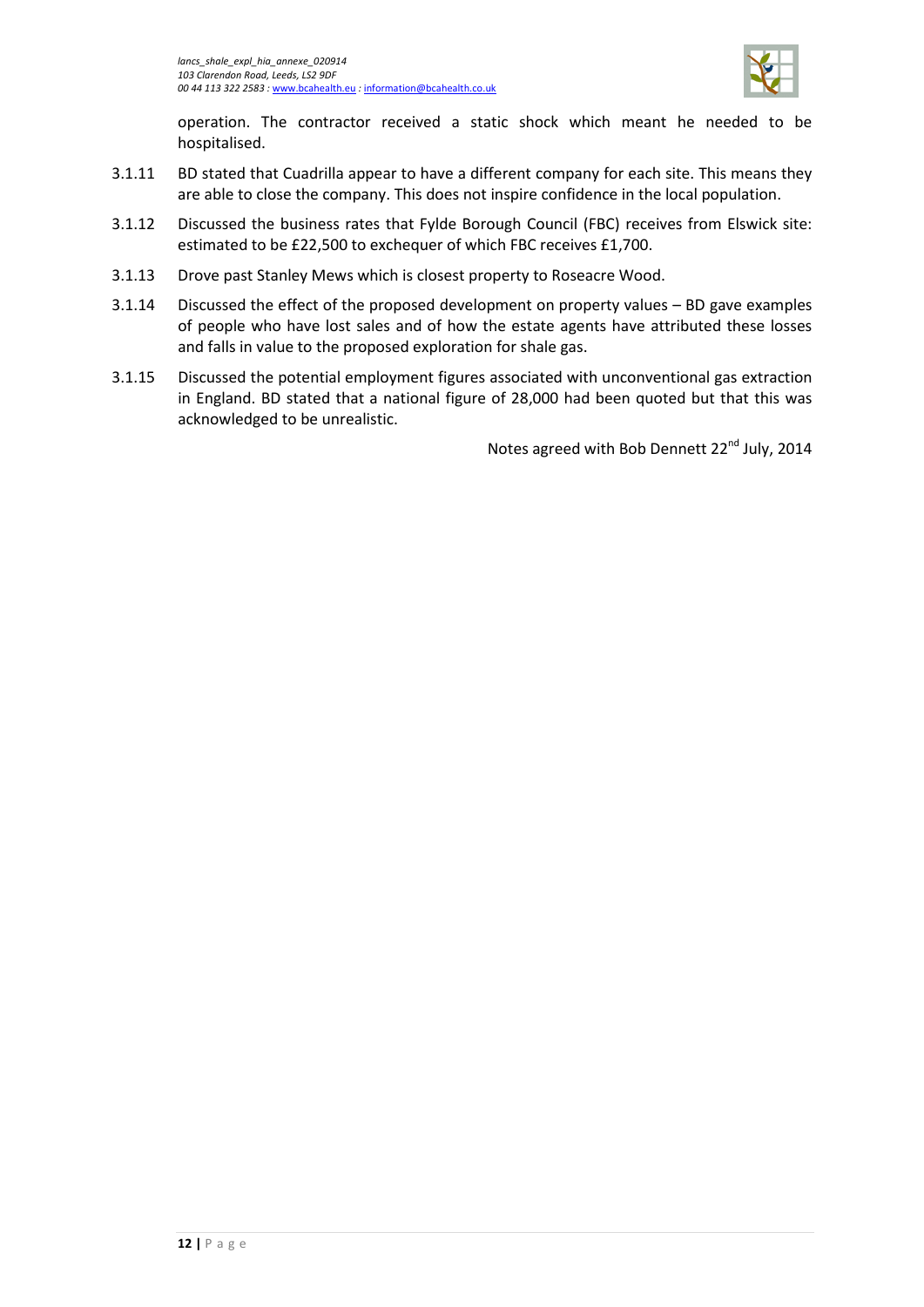

operation. The contractor received a static shock which meant he needed to be hospitalised.

- 3.1.11 BD stated that Cuadrilla appear to have a different company for each site. This means they are able to close the company. This does not inspire confidence in the local population.
- 3.1.12 Discussed the business rates that Fylde Borough Council (FBC) receives from Elswick site: estimated to be £22,500 to exchequer of which FBC receives £1,700.
- 3.1.13 Drove past Stanley Mews which is closest property to Roseacre Wood.
- 3.1.14 Discussed the effect of the proposed development on property values BD gave examples of people who have lost sales and of how the estate agents have attributed these losses and falls in value to the proposed exploration for shale gas.
- 3.1.15 Discussed the potential employment figures associated with unconventional gas extraction in England. BD stated that a national figure of 28,000 had been quoted but that this was acknowledged to be unrealistic.

Notes agreed with Bob Dennett 22<sup>nd</sup> July, 2014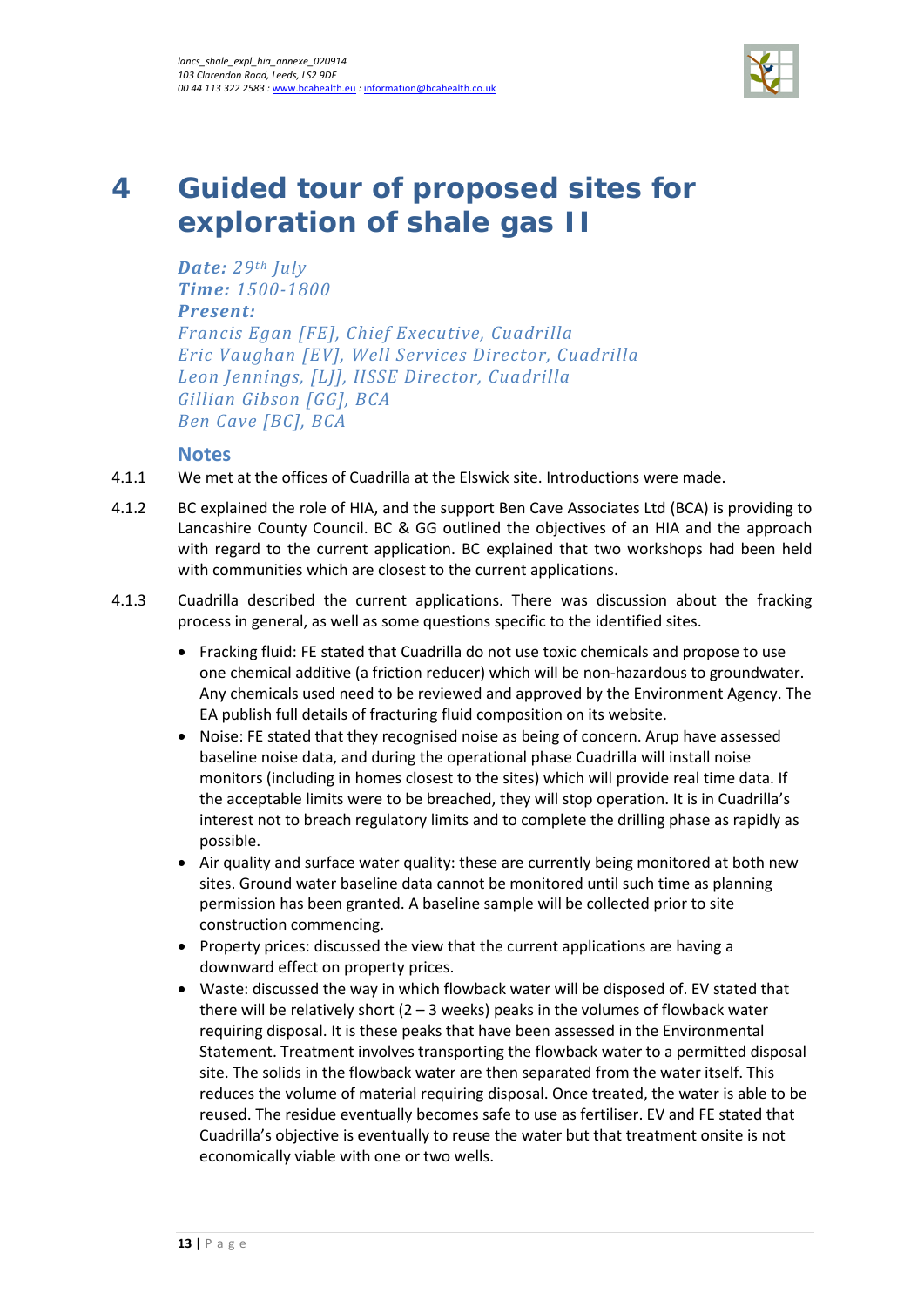

# <span id="page-16-0"></span>**4 Guided tour of proposed sites for exploration of shale gas II**

*Date: 29th July Time: 1500-1800 Present: Francis Egan [FE], Chief Executive, Cuadrilla Eric Vaughan [EV], Well Services Director, Cuadrilla Leon Jennings, [LJ], HSSE Director, Cuadrilla Gillian Gibson [GG], BCA Ben Cave [BC], BCA*

#### **Notes**

- 4.1.1 We met at the offices of Cuadrilla at the Elswick site. Introductions were made.
- 4.1.2 BC explained the role of HIA, and the support Ben Cave Associates Ltd (BCA) is providing to Lancashire County Council. BC & GG outlined the objectives of an HIA and the approach with regard to the current application. BC explained that two workshops had been held with communities which are closest to the current applications.
- 4.1.3 Cuadrilla described the current applications. There was discussion about the fracking process in general, as well as some questions specific to the identified sites.
	- Fracking fluid: FE stated that Cuadrilla do not use toxic chemicals and propose to use one chemical additive (a friction reducer) which will be non-hazardous to groundwater. Any chemicals used need to be reviewed and approved by the Environment Agency. The EA publish full details of fracturing fluid composition on its website.
	- Noise: FE stated that they recognised noise as being of concern. Arup have assessed baseline noise data, and during the operational phase Cuadrilla will install noise monitors (including in homes closest to the sites) which will provide real time data. If the acceptable limits were to be breached, they will stop operation. It is in Cuadrilla's interest not to breach regulatory limits and to complete the drilling phase as rapidly as possible.
	- Air quality and surface water quality: these are currently being monitored at both new sites. Ground water baseline data cannot be monitored until such time as planning permission has been granted. A baseline sample will be collected prior to site construction commencing.
	- Property prices: discussed the view that the current applications are having a downward effect on property prices.
	- Waste: discussed the way in which flowback water will be disposed of. EV stated that there will be relatively short  $(2 - 3$  weeks) peaks in the volumes of flowback water requiring disposal. It is these peaks that have been assessed in the Environmental Statement. Treatment involves transporting the flowback water to a permitted disposal site. The solids in the flowback water are then separated from the water itself. This reduces the volume of material requiring disposal. Once treated, the water is able to be reused. The residue eventually becomes safe to use as fertiliser. EV and FE stated that Cuadrilla's objective is eventually to reuse the water but that treatment onsite is not economically viable with one or two wells.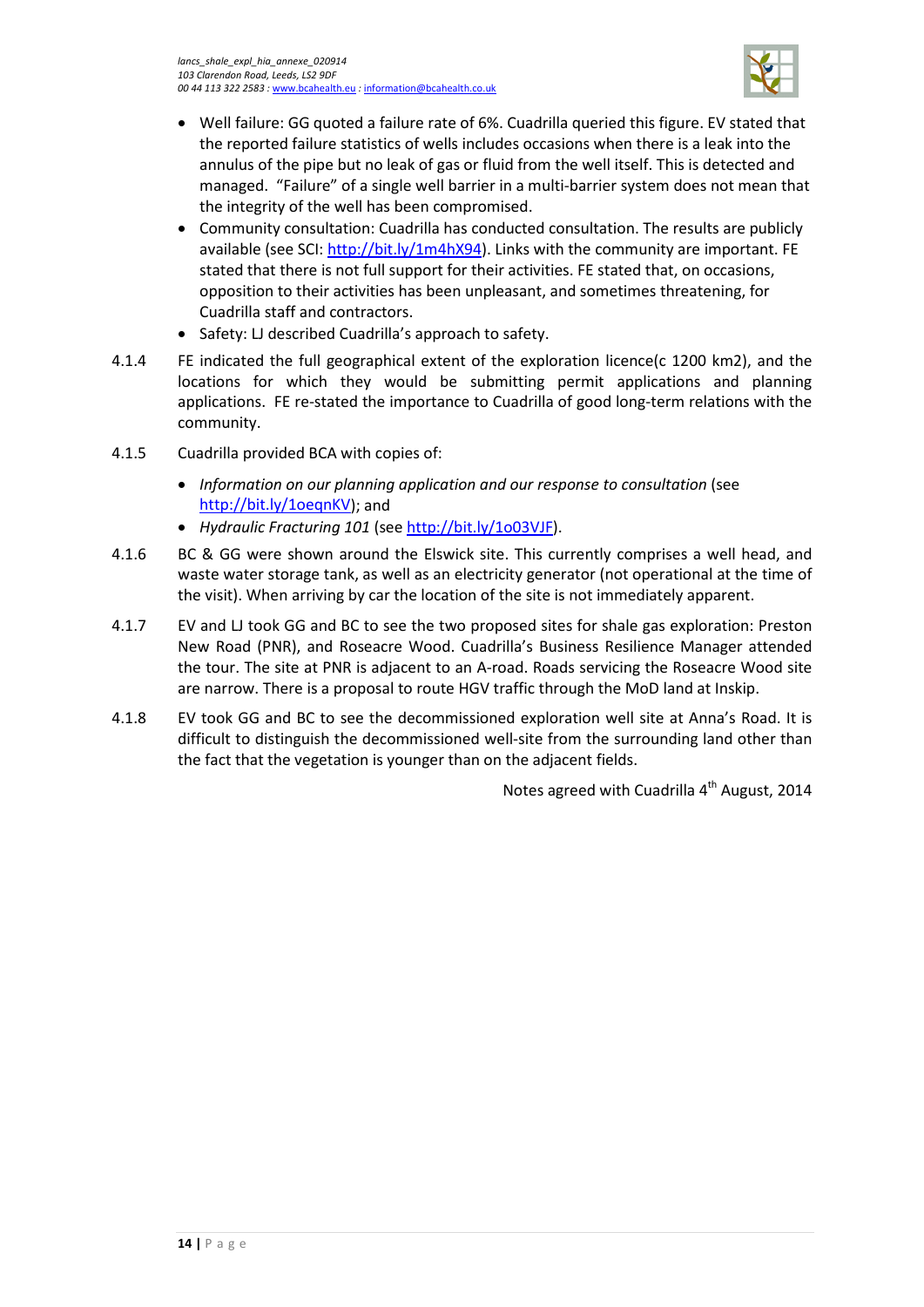

- Well failure: GG quoted a failure rate of 6%. Cuadrilla queried this figure. EV stated that the reported failure statistics of wells includes occasions when there is a leak into the annulus of the pipe but no leak of gas or fluid from the well itself. This is detected and managed. "Failure" of a single well barrier in a multi-barrier system does not mean that the integrity of the well has been compromised.
- Community consultation: Cuadrilla has conducted consultation. The results are publicly available (see SCI: [http://bit.ly/1m4hX94\)](http://bit.ly/1m4hX94). Links with the community are important. FE stated that there is not full support for their activities. FE stated that, on occasions, opposition to their activities has been unpleasant, and sometimes threatening, for Cuadrilla staff and contractors.
- Safety: LJ described Cuadrilla's approach to safety.
- 4.1.4 FE indicated the full geographical extent of the exploration licence(c 1200 km2), and the locations for which they would be submitting permit applications and planning applications. FE re-stated the importance to Cuadrilla of good long-term relations with the community.
- 4.1.5 Cuadrilla provided BCA with copies of:
	- *Information on our planning application and our response to consultation* (see [http://bit.ly/1oeqnKV\)](http://bit.ly/1oeqnKV); and
	- *Hydraulic Fracturing 101* (see [http://bit.ly/1o03VJF\)](http://bit.ly/1o03VJF).
- 4.1.6 BC & GG were shown around the Elswick site. This currently comprises a well head, and waste water storage tank, as well as an electricity generator (not operational at the time of the visit). When arriving by car the location of the site is not immediately apparent.
- 4.1.7 EV and LJ took GG and BC to see the two proposed sites for shale gas exploration: Preston New Road (PNR), and Roseacre Wood. Cuadrilla's Business Resilience Manager attended the tour. The site at PNR is adjacent to an A-road. Roads servicing the Roseacre Wood site are narrow. There is a proposal to route HGV traffic through the MoD land at Inskip.
- 4.1.8 EV took GG and BC to see the decommissioned exploration well site at Anna's Road. It is difficult to distinguish the decommissioned well-site from the surrounding land other than the fact that the vegetation is younger than on the adjacent fields.

Notes agreed with Cuadrilla  $4<sup>th</sup>$  August, 2014